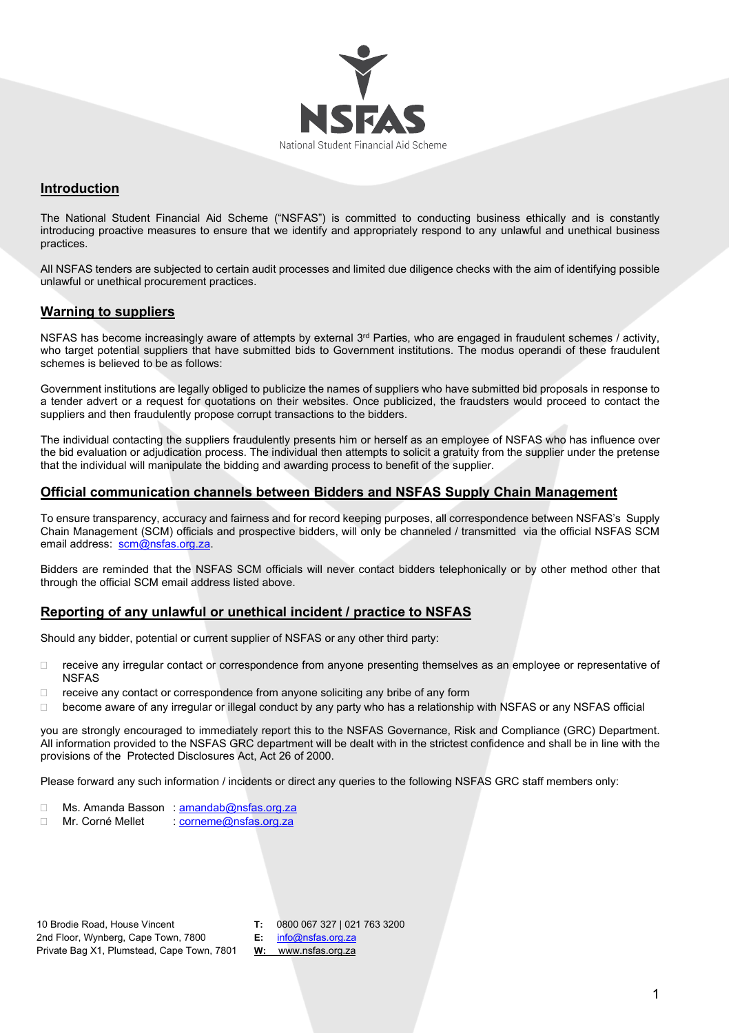

## **Introduction**

The National Student Financial Aid Scheme ("NSFAS") is committed to conducting business ethically and is constantly introducing proactive measures to ensure that we identify and appropriately respond to any unlawful and unethical business practices.

All NSFAS tenders are subjected to certain audit processes and limited due diligence checks with the aim of identifying possible unlawful or unethical procurement practices.

#### **Warning to suppliers**

NSFAS has become increasingly aware of attempts by external  $3<sup>rd</sup>$  Parties, who are engaged in fraudulent schemes / activity, who target potential suppliers that have submitted bids to Government institutions. The modus operandi of these fraudulent schemes is believed to be as follows:

Government institutions are legally obliged to publicize the names of suppliers who have submitted bid proposals in response to a tender advert or a request for quotations on their websites. Once publicized, the fraudsters would proceed to contact the suppliers and then fraudulently propose corrupt transactions to the bidders.

The individual contacting the suppliers fraudulently presents him or herself as an employee of NSFAS who has influence over the bid evaluation or adjudication process. The individual then attempts to solicit a gratuity from the supplier under the pretense that the individual will manipulate the bidding and awarding process to benefit of the supplier.

### **Official communication channels between Bidders and NSFAS Supply Chain Management**

To ensure transparency, accuracy and fairness and for record keeping purposes, all correspondence between NSFAS's Supply Chain Management (SCM) officials and prospective bidders, will only be channeled / transmitted via the official NSFAS SCM email address: [scm@nsfas.org.za.](mailto:scm@nsfas.org.za)

Bidders are reminded that the NSFAS SCM officials will never contact bidders telephonically or by other method other that through the official SCM email address listed above.

### **Reporting of any unlawful or unethical incident / practice to NSFAS**

Should any bidder, potential or current supplier of NSFAS or any other third party:

- receive any irregular contact or correspondence from anyone presenting themselves as an employee or representative of NSFAS
- $\Box$  receive any contact or correspondence from anyone soliciting any bribe of any form
- $\Box$  become aware of any irregular or illegal conduct by any party who has a relationship with NSFAS or any NSFAS official

you are strongly encouraged to immediately report this to the NSFAS Governance, Risk and Compliance (GRC) Department. All information provided to the NSFAS GRC department will be dealt with in the strictest confidence and shall be in line with the provisions of the Protected Disclosures Act, Act 26 of 2000.

Please forward any such information / incidents or direct any queries to the following NSFAS GRC staff members only:

- □ Ms. Amanda Basson : [amandab@nsfas.org.za](mailto:amandab@nsfas.org.za)
- □ Mr. Corné Mellet : [corneme@nsfas.org.za](mailto:corneme@nsfas.org.za)

| 10 Brodie Road, House Vincent              | T: 080006732710217633200   |
|--------------------------------------------|----------------------------|
| 2nd Floor, Wynberg, Cape Town, 7800        | $E:$ info@nsfas.org.za     |
| Private Bag X1, Plumstead, Cape Town, 7801 | <b>W:</b> www.nsfas.org.za |